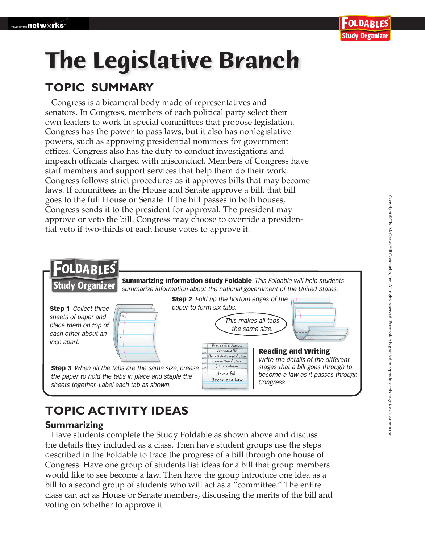# **The Legislative Branch TOPIC SUMMARY**

Congress is a bicameral body made of representatives and senators. In Congress, members of each political party select their own leaders to work in special committees that propose legislation. Congress has the power to pass laws, but it also has nonlegislative powers, such as approving presidential nominees for government offices. Congress also has the duty to conduct investigations and impeach officials charged with misconduct. Members of Congress have staff members and support services that help them do their work. Congress follows strict procedures as it approves bills that may become laws. If committees in the House and Senate approve a bill, that bill goes to the full House or Senate. If the bill passes in both houses, Congress sends it to the president for approval. The president may approve or veto the bill. Congress may choose to override a presidential veto if two-thirds of each house votes to approve it.



### **TOPIC ACTIVITY IDEAS**

### **Summarizing**

 Have students complete the Study Foldable as shown above and discuss the details they included as a class. Then have student groups use the steps described in the Foldable to trace the progress of a bill through one house of Congress. Have one group of students list ideas for a bill that group members would like to see become a law. Then have the group introduce one idea as a bill to a second group of students who will act as a "committee." The entire class can act as House or Senate members, discussing the merits of the bill and voting on whether to approve it.